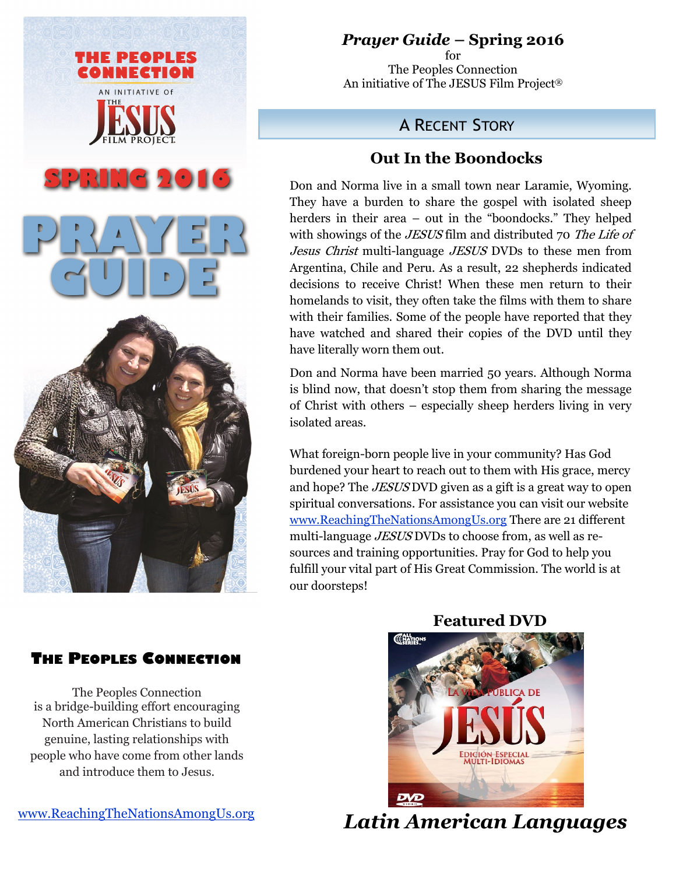

# *Prayer Guide* **– Spring 2016**

for The Peoples Connection An initiative of The JESUS Film Project®

# A RECENT STORY

## **Out In the Boondocks**

Don and Norma live in a small town near Laramie, Wyoming. They have a burden to share the gospel with isolated sheep herders in their area – out in the "boondocks." They helped with showings of the *JESUS* film and distributed 70 The Life of Jesus Christ multi-language JESUS DVDs to these men from Argentina, Chile and Peru. As a result, 22 shepherds indicated decisions to receive Christ! When these men return to their homelands to visit, they often take the films with them to share with their families. Some of the people have reported that they have watched and shared their copies of the DVD until they have literally worn them out.

Don and Norma have been married 50 years. Although Norma is blind now, that doesn't stop them from sharing the message of Christ with others – especially sheep herders living in very isolated areas.

What foreign-born people live in your community? Has God burdened your heart to reach out to them with His grace, mercy and hope? The *JESUS* DVD given as a gift is a great way to open spiritual conversations. For assistance you can visit our website [www.ReachingTheNationsAmongUs.org](http://reachingthenationsamongus.org/) There are 21 different multi-language *JESUS* DVDs to choose from, as well as resources and training opportunities. Pray for God to help you fulfill your vital part of His Great Commission. The world is at our doorsteps!

# ENATION **MULTI-IDIOMAS**

 **Featured DVD**

### **THE PEOPLES CONNECTION**

The Peoples Connection is a bridge-building effort encouraging North American Christians to build genuine, lasting relationships with people who have come from other lands and introduce them to Jesus.

 *Latin American Languages*